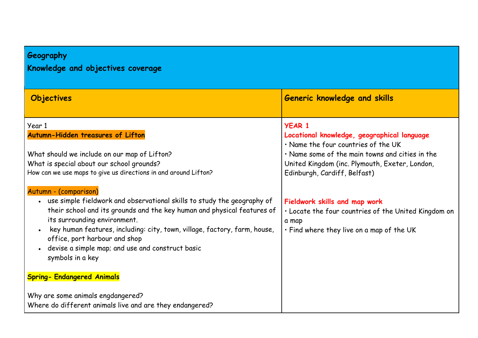## **Geography**

## **Knowledge and objectives coverage**

| Objectives                                                                                                                                                                                                                                                                                                                                                                                                                                          | <b>Generic knowledge and skills</b>                                                                                                                                                                                                      |
|-----------------------------------------------------------------------------------------------------------------------------------------------------------------------------------------------------------------------------------------------------------------------------------------------------------------------------------------------------------------------------------------------------------------------------------------------------|------------------------------------------------------------------------------------------------------------------------------------------------------------------------------------------------------------------------------------------|
| Year 1<br>Autumn-Hidden treasures of Lifton<br>What should we include on our map of Lifton?<br>What is special about our school grounds?<br>How can we use maps to give us directions in and around Lifton?                                                                                                                                                                                                                                         | <b>YEAR 1</b><br>Locational knowledge, geographical language<br>. Name the four countries of the UK<br>. Name some of the main towns and cities in the<br>United Kingdom (inc. Plymouth, Exeter, London,<br>Edinburgh, Cardiff, Belfast) |
| Autumn - (comparison)<br>use simple fieldwork and observational skills to study the geography of<br>$\bullet$<br>their school and its grounds and the key human and physical features of<br>its surrounding environment.<br>key human features, including: city, town, village, factory, farm, house,<br>office, port harbour and shop<br>devise a simple map; and use and construct basic<br>symbols in a key<br><b>Spring- Endangered Animals</b> | Fieldwork skills and map work<br>. Locate the four countries of the United Kingdom on<br>a map<br>. Find where they live on a map of the UK                                                                                              |
| Why are some animals engdangered?<br>Where do different animals live and are they endangered?                                                                                                                                                                                                                                                                                                                                                       |                                                                                                                                                                                                                                          |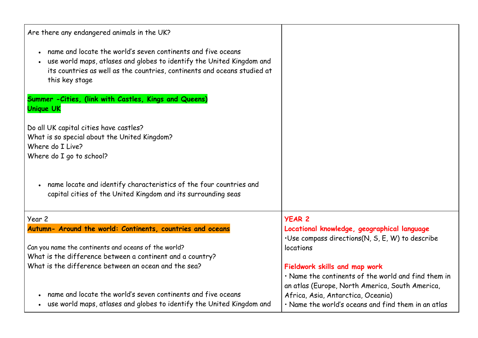| Are there any endangered animals in the UK?                                                                                                                                                                                             |                                                                                                                                         |
|-----------------------------------------------------------------------------------------------------------------------------------------------------------------------------------------------------------------------------------------|-----------------------------------------------------------------------------------------------------------------------------------------|
| • name and locate the world's seven continents and five oceans<br>. use world maps, atlases and globes to identify the United Kingdom and<br>its countries as well as the countries, continents and oceans studied at<br>this key stage |                                                                                                                                         |
| Summer - Cities, (link with Castles, Kings and Queens)<br><b>Unique UK</b>                                                                                                                                                              |                                                                                                                                         |
| Do all UK capital cities have castles?<br>What is so special about the United Kingdom?<br>Where do I Live?<br>Where do I go to school?                                                                                                  |                                                                                                                                         |
| • name locate and identify characteristics of the four countries and<br>capital cities of the United Kingdom and its surrounding seas                                                                                                   |                                                                                                                                         |
| Year 2                                                                                                                                                                                                                                  | <b>YEAR 2</b>                                                                                                                           |
| Autumn- Around the world: Continents, countries and oceans                                                                                                                                                                              | Locational knowledge, geographical language<br>·Use compass directions(N, S, E, W) to describe                                          |
| Can you name the continents and oceans of the world?<br>What is the difference between a continent and a country?                                                                                                                       | locations                                                                                                                               |
| What is the difference between an ocean and the sea?                                                                                                                                                                                    | Fieldwork skills and map work<br>· Name the continents of the world and find them in<br>an atlas (Europe, North America, South America, |
| name and locate the world's seven continents and five oceans<br>• use world maps, atlases and globes to identify the United Kingdom and                                                                                                 | Africa, Asia, Antarctica, Oceania)<br>• Name the world's oceans and find them in an atlas                                               |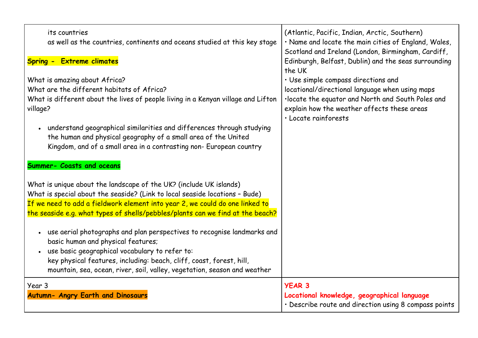| its countries<br>as well as the countries, continents and oceans studied at this key stage<br><b>Spring - Extreme climates</b>                                                                                                                                                                                                                                                                 | (Atlantic, Pacific, Indian, Arctic, Southern)<br>. Name and locate the main cities of England, Wales,<br>Scotland and Ireland (London, Birmingham, Cardiff,<br>Edinburgh, Belfast, Dublin) and the seas surrounding<br>the UK |
|------------------------------------------------------------------------------------------------------------------------------------------------------------------------------------------------------------------------------------------------------------------------------------------------------------------------------------------------------------------------------------------------|-------------------------------------------------------------------------------------------------------------------------------------------------------------------------------------------------------------------------------|
| What is amazing about Africa?<br>What are the different habitats of Africa?<br>What is different about the lives of people living in a Kenyan village and Lifton<br>village?<br>understand geographical similarities and differences through studying<br>the human and physical geography of a small area of the United<br>Kingdom, and of a small area in a contrasting non- European country | · Use simple compass directions and<br>locational/directional language when using maps<br>·locate the equator and North and South Poles and<br>explain how the weather affects these areas<br>· Locate rainforests            |
| <b>Summer- Coasts and oceans</b><br>What is unique about the landscape of the UK? (include UK islands)<br>What is special about the seaside? (Link to local seaside locations - Bude)<br>If we need to add a fieldwork element into year 2, we could do one linked to<br>the seaside e.g. what types of shells/pebbles/plants can we find at the beach?                                        |                                                                                                                                                                                                                               |
| . use aerial photographs and plan perspectives to recognise landmarks and<br>basic human and physical features;<br>use basic geographical vocabulary to refer to:<br>key physical features, including: beach, cliff, coast, forest, hill,<br>mountain, sea, ocean, river, soil, valley, vegetation, season and weather                                                                         |                                                                                                                                                                                                                               |
| Year 3<br><b>Autumn- Angry Earth and Dinosaurs</b>                                                                                                                                                                                                                                                                                                                                             | <b>YEAR 3</b><br>Locational knowledge, geographical language<br>· Describe route and direction using 8 compass points                                                                                                         |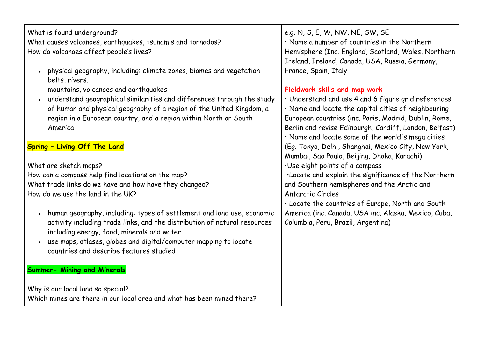| What is found underground?                                                            | e.g. N, S, E, W, NW, NE, SW, SE                        |
|---------------------------------------------------------------------------------------|--------------------------------------------------------|
| What causes volcanoes, earthquakes, tsunamis and tornados?                            | . Name a number of countries in the Northern           |
| How do volcanoes affect people's lives?                                               | Hemisphere (Inc. England, Scotland, Wales, Northern    |
|                                                                                       | Ireland, Ireland, Canada, USA, Russia, Germany,        |
| physical geography, including: climate zones, biomes and vegetation<br>belts, rivers, | France, Spain, Italy                                   |
| mountains, volcanoes and earthquakes                                                  | Fieldwork skills and map work                          |
| understand geographical similarities and differences through the study                | · Understand and use 4 and 6 figure grid references    |
| of human and physical geography of a region of the United Kingdom, a                  | . Name and locate the capital cities of neighbouring   |
| region in a European country, and a region within North or South                      | European countries (inc. Paris, Madrid, Dublin, Rome,  |
| America                                                                               | Berlin and revise Edinburgh, Cardiff, London, Belfast) |
|                                                                                       | · Name and locate some of the world's mega cities      |
| Spring - Living Off The Land                                                          | (Eg. Tokyo, Delhi, Shanghai, Mexico City, New York,    |
|                                                                                       | Mumbai, Sao Paulo, Beijing, Dhaka, Karachi)            |
| What are sketch maps?                                                                 | ·Use eight points of a compass                         |
| How can a compass help find locations on the map?                                     | . Locate and explain the significance of the Northern  |
| What trade links do we have and how have they changed?                                | and Southern hemispheres and the Arctic and            |
| How do we use the land in the UK?                                                     | Antarctic Circles                                      |
|                                                                                       | . Locate the countries of Europe, North and South      |
| human geography, including: types of settlement and land use, economic                | America (inc. Canada, USA inc. Alaska, Mexico, Cuba,   |
| activity including trade links, and the distribution of natural resources             | Columbia, Peru, Brazil, Argentina)                     |
| including energy, food, minerals and water                                            |                                                        |
| use maps, atlases, globes and digital/computer mapping to locate                      |                                                        |
| countries and describe features studied                                               |                                                        |
|                                                                                       |                                                        |
| <b>Summer- Mining and Minerals</b>                                                    |                                                        |
| Why is our local land so special?                                                     |                                                        |
| Which mines are there in our local area and what has been mined there?                |                                                        |
|                                                                                       |                                                        |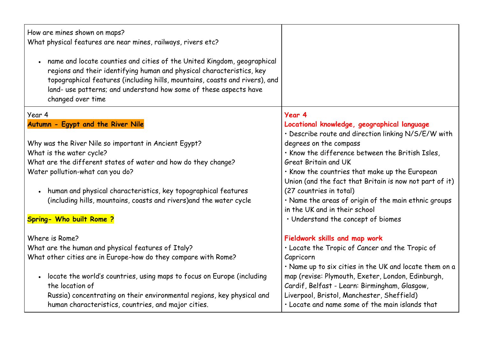| How are mines shown on maps?<br>What physical features are near mines, railways, rivers etc?                                                                                                                                                                                                                              |                                                                                                    |
|---------------------------------------------------------------------------------------------------------------------------------------------------------------------------------------------------------------------------------------------------------------------------------------------------------------------------|----------------------------------------------------------------------------------------------------|
| name and locate counties and cities of the United Kingdom, geographical<br>regions and their identifying human and physical characteristics, key<br>topographical features (including hills, mountains, coasts and rivers), and<br>land- use patterns; and understand how some of these aspects have<br>changed over time |                                                                                                    |
| Year 4                                                                                                                                                                                                                                                                                                                    | Year 4                                                                                             |
| Autumn - Egypt and the River Nile                                                                                                                                                                                                                                                                                         | Locational knowledge, geographical language<br>· Describe route and direction linking N/S/E/W with |
| Why was the River Nile so important in Ancient Egypt?                                                                                                                                                                                                                                                                     | degrees on the compass                                                                             |
| What is the water cycle?                                                                                                                                                                                                                                                                                                  | . Know the difference between the British Isles,                                                   |
| What are the different states of water and how do they change?                                                                                                                                                                                                                                                            | <b>Great Britain and UK</b>                                                                        |
| Water pollution-what can you do?                                                                                                                                                                                                                                                                                          | . Know the countries that make up the European                                                     |
|                                                                                                                                                                                                                                                                                                                           | Union (and the fact that Britain is now not part of it)                                            |
| human and physical characteristics, key topographical features                                                                                                                                                                                                                                                            | (27 countries in total)                                                                            |
| (including hills, mountains, coasts and rivers) and the water cycle                                                                                                                                                                                                                                                       | . Name the areas of origin of the main ethnic groups                                               |
|                                                                                                                                                                                                                                                                                                                           | in the UK and in their school                                                                      |
| Spring- Who built Rome?                                                                                                                                                                                                                                                                                                   | · Understand the concept of biomes                                                                 |
| Where is Rome?                                                                                                                                                                                                                                                                                                            | Fieldwork skills and map work                                                                      |
| What are the human and physical features of Italy?                                                                                                                                                                                                                                                                        | . Locate the Tropic of Cancer and the Tropic of                                                    |
| What other cities are in Europe-how do they compare with Rome?                                                                                                                                                                                                                                                            | Capricorn                                                                                          |
|                                                                                                                                                                                                                                                                                                                           | . Name up to six cities in the UK and locate them on a                                             |
| locate the world's countries, using maps to focus on Europe (including                                                                                                                                                                                                                                                    | map (revise: Plymouth, Exeter, London, Edinburgh,                                                  |
| the location of                                                                                                                                                                                                                                                                                                           | Cardif, Belfast - Learn: Birmingham, Glasgow,                                                      |
| Russia) concentrating on their environmental regions, key physical and                                                                                                                                                                                                                                                    | Liverpool, Bristol, Manchester, Sheffield)                                                         |
| human characteristics, countries, and major cities.                                                                                                                                                                                                                                                                       | · Locate and name some of the main islands that                                                    |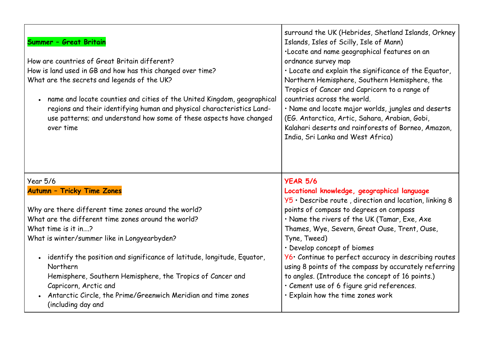| Summer - Great Britain<br>How are countries of Great Britain different?<br>How is land used in GB and how has this changed over time?<br>What are the secrets and legends of the UK?<br>name and locate counties and cities of the United Kingdom, geographical<br>regions and their identifying human and physical characteristics Land-<br>use patterns; and understand how some of these aspects have changed<br>over time | surround the UK (Hebrides, Shetland Islands, Orkney<br>Islands, Isles of Scilly, Isle of Mann)<br>·Locate and name geographical features on an<br>ordnance survey map<br>· Locate and explain the significance of the Equator,<br>Northern Hemisphere, Southern Hemisphere, the<br>Tropics of Cancer and Capricorn to a range of<br>countries across the world.<br>· Name and locate major worlds, jungles and deserts<br>(EG. Antarctica, Artic, Sahara, Arabian, Gobi,<br>Kalahari deserts and rainforests of Borneo, Amazon,<br>India, Sri Lanka and West Africa) |
|-------------------------------------------------------------------------------------------------------------------------------------------------------------------------------------------------------------------------------------------------------------------------------------------------------------------------------------------------------------------------------------------------------------------------------|----------------------------------------------------------------------------------------------------------------------------------------------------------------------------------------------------------------------------------------------------------------------------------------------------------------------------------------------------------------------------------------------------------------------------------------------------------------------------------------------------------------------------------------------------------------------|
| <b>Year 5/6</b>                                                                                                                                                                                                                                                                                                                                                                                                               | <b>YEAR 5/6</b>                                                                                                                                                                                                                                                                                                                                                                                                                                                                                                                                                      |
|                                                                                                                                                                                                                                                                                                                                                                                                                               |                                                                                                                                                                                                                                                                                                                                                                                                                                                                                                                                                                      |
| <b>Autumn - Tricky Time Zones</b>                                                                                                                                                                                                                                                                                                                                                                                             | Locational knowledge, geographical language                                                                                                                                                                                                                                                                                                                                                                                                                                                                                                                          |
| Why are there different time zones around the world?                                                                                                                                                                                                                                                                                                                                                                          | $Y5 \cdot$ Describe route, direction and location, linking 8<br>points of compass to degrees on compass                                                                                                                                                                                                                                                                                                                                                                                                                                                              |
| What are the different time zones around the world?                                                                                                                                                                                                                                                                                                                                                                           | · Name the rivers of the UK (Tamar, Exe, Axe                                                                                                                                                                                                                                                                                                                                                                                                                                                                                                                         |
| What time is it in?                                                                                                                                                                                                                                                                                                                                                                                                           | Thames, Wye, Severn, Great Ouse, Trent, Ouse,                                                                                                                                                                                                                                                                                                                                                                                                                                                                                                                        |
| What is winter/summer like in Longyearbyden?                                                                                                                                                                                                                                                                                                                                                                                  | Tyne, Tweed)                                                                                                                                                                                                                                                                                                                                                                                                                                                                                                                                                         |
|                                                                                                                                                                                                                                                                                                                                                                                                                               | · Develop concept of biomes                                                                                                                                                                                                                                                                                                                                                                                                                                                                                                                                          |
| identify the position and significance of latitude, longitude, Equator,                                                                                                                                                                                                                                                                                                                                                       | Y6. Continue to perfect accuracy in describing routes                                                                                                                                                                                                                                                                                                                                                                                                                                                                                                                |
| Northern                                                                                                                                                                                                                                                                                                                                                                                                                      | using 8 points of the compass by accurately referring                                                                                                                                                                                                                                                                                                                                                                                                                                                                                                                |
| Hemisphere, Southern Hemisphere, the Tropics of Cancer and                                                                                                                                                                                                                                                                                                                                                                    | to angles. (Introduce the concept of 16 points.)                                                                                                                                                                                                                                                                                                                                                                                                                                                                                                                     |
| Capricorn, Arctic and<br>Antarctic Circle, the Prime/Greenwich Meridian and time zones                                                                                                                                                                                                                                                                                                                                        | · Cement use of 6 figure grid references.<br>· Explain how the time zones work                                                                                                                                                                                                                                                                                                                                                                                                                                                                                       |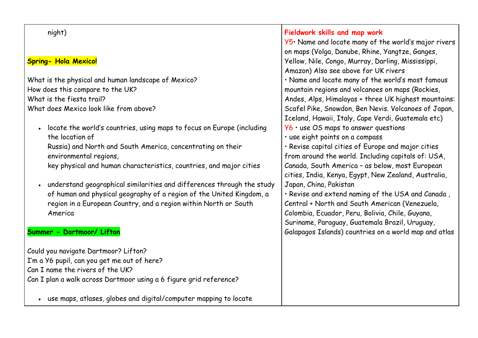| night)                                                                              | Fieldwork skills and map work                         |
|-------------------------------------------------------------------------------------|-------------------------------------------------------|
|                                                                                     | Y5. Name and locate many of the world's major rivers  |
|                                                                                     | on maps (Volga, Danube, Rhine, Yangtze, Ganges,       |
| <b>Spring- Hola Mexico!</b>                                                         | Yellow, Nile, Congo, Murray, Darling, Mississippi,    |
|                                                                                     | Amazon) Also see above for UK rivers                  |
| What is the physical and human landscape of Mexico?                                 | . Name and locate many of the world's most famous     |
| How does this compare to the UK?                                                    | mountain regions and volcanoes on maps (Rockies,      |
| What is the fiesta trail?                                                           | Andes, Alps, Himalayas + three UK highest mountains:  |
| What does Mexico look like from above?                                              | Scafel Pike, Snowdon, Ben Nevis. Volcanoes of Japan,  |
|                                                                                     | Iceland, Hawaii, Italy, Cape Verdi, Guatemala etc)    |
| locate the world's countries, using maps to focus on Europe (including<br>$\bullet$ | $Y6$ $\cdot$ use OS maps to answer questions          |
| the location of                                                                     | · use eight points on a compass                       |
| Russia) and North and South America, concentrating on their                         | · Revise capital cities of Europe and major cities    |
| environmental regions,                                                              | from around the world. Including capitals of: USA,    |
| key physical and human characteristics, countries, and major cities                 | Canada, South America - as below, most European       |
|                                                                                     | cities, India, Kenya, Egypt, New Zealand, Australia,  |
| understand geographical similarities and differences through the study<br>$\bullet$ | Japan, China, Pakistan                                |
| of human and physical geography of a region of the United Kingdom, a                | · Revise and extend naming of the USA and Canada,     |
| region in a European Country, and a region within North or South                    | Central + North and South American (Venezuela,        |
| America                                                                             | Colombia, Ecuador, Peru, Bolivia, Chile, Guyana,      |
|                                                                                     | Suriname, Paraguay, Guatemala Brazil, Uruguay,        |
| Summer - Dartmoor/ Lifton                                                           | Galapagos Islands) countries on a world map and atlas |
| Could you navigate Dartmoor? Lifton?                                                |                                                       |
| I'm a Y6 pupil, can you get me out of here?                                         |                                                       |
| Can I name the rivers of the UK?                                                    |                                                       |
| Can I plan a walk across Dartmoor using a 6 figure grid reference?                  |                                                       |
| use maps, atlases, globes and digital/computer mapping to locate                    |                                                       |